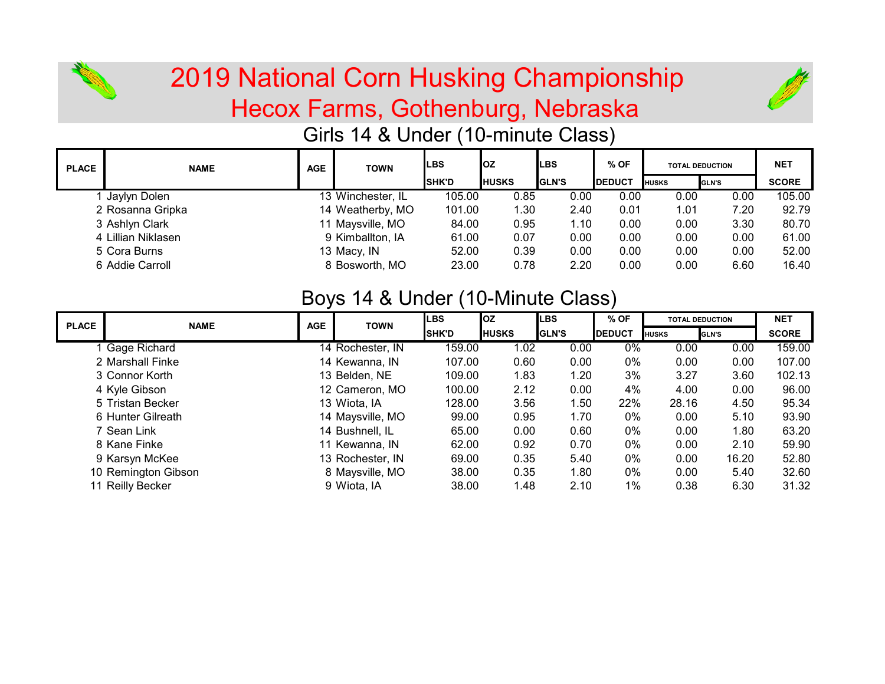

# Hecox Farms, Gothenburg, Nebraska 2019 National Corn Husking Championship



## Girls 14 & Under (10-minute Class)

| <b>PLACE</b> | <b>NAME</b>        | <b>AGE</b> | <b>TOWN</b>       | ILBS           | loz            | ILBS           | $%$ OF         | <b>TOTAL DEDUCTION</b> |              | <b>NET</b>   |
|--------------|--------------------|------------|-------------------|----------------|----------------|----------------|----------------|------------------------|--------------|--------------|
|              |                    |            |                   | <b>I</b> SHK'D | <b>I</b> HUSKS | <b>I</b> GLN'S | <b>IDEDUCT</b> | <b>I</b> HUSKS         | <b>GLN'S</b> | <b>SCORE</b> |
|              | Jaylyn Dolen       |            | 13 Winchester, IL | 105.00         | 0.85           | 0.00           | 0.00           | 0.00                   | 0.00         | 105.00       |
|              | 2 Rosanna Gripka   |            | 14 Weatherby, MO  | 101.00         | 1.30           | 2.40           | 0.01           | 1.01                   | 7.20         | 92.79        |
|              | 3 Ashlyn Clark     |            | 11 Maysville, MO  | 84.00          | 0.95           | 1.10           | 0.00           | 0.00                   | 3.30         | 80.70        |
|              | 4 Lillian Niklasen |            | 9 Kimballton, IA  | 61.00          | 0.07           | 0.00           | 0.00           | 0.00                   | 0.00         | 61.00        |
|              | 5 Cora Burns       |            | 13 Macy, IN       | 52.00          | 0.39           | 0.00           | 0.00           | 0.00                   | 0.00         | 52.00        |
|              | 6 Addie Carroll    |            | 8 Bosworth, MO    | 23.00          | 0.78           | 2.20           | 0.00           | 0.00                   | 6.60         | 16.40        |

## Boys 14 & Under (10-Minute Class)

| <b>PLACE</b> | <b>NAME</b>         | <b>AGE</b> | <b>TOWN</b>      | <b>LBS</b>   | <b>loz</b>   | <b>LBS</b>   | $%$ OF        |              | <b>TOTAL DEDUCTION</b> | <b>NET</b>   |
|--------------|---------------------|------------|------------------|--------------|--------------|--------------|---------------|--------------|------------------------|--------------|
|              |                     |            |                  | <b>SHK'D</b> | <b>HUSKS</b> | <b>GLN'S</b> | <b>DEDUCT</b> | <b>HUSKS</b> | <b>GLN'S</b>           | <b>SCORE</b> |
|              | <b>Gage Richard</b> |            | 14 Rochester, IN | 159.00       | 1.02         | 0.00         | 0%            | 0.00         | 0.00                   | 159.00       |
|              | 2 Marshall Finke    |            | 14 Kewanna, IN   | 107.00       | 0.60         | 0.00         | 0%            | 0.00         | 0.00                   | 107.00       |
|              | 3 Connor Korth      |            | 13 Belden, NE    | 109.00       | 1.83         | 1.20         | 3%            | 3.27         | 3.60                   | 102.13       |
|              | 4 Kyle Gibson       |            | 12 Cameron, MO   | 100.00       | 2.12         | 0.00         | 4%            | 4.00         | 0.00                   | 96.00        |
|              | 5 Tristan Becker    |            | 13 Wiota, IA     | 128.00       | 3.56         | 1.50         | 22%           | 28.16        | 4.50                   | 95.34        |
|              | 6 Hunter Gilreath   |            | 14 Maysville, MO | 99.00        | 0.95         | 1.70         | 0%            | 0.00         | 5.10                   | 93.90        |
|              | 7 Sean Link         |            | 14 Bushnell, IL  | 65.00        | 0.00         | 0.60         | 0%            | 0.00         | 1.80                   | 63.20        |
|              | 8 Kane Finke        |            | 11 Kewanna, IN   | 62.00        | 0.92         | 0.70         | 0%            | 0.00         | 2.10                   | 59.90        |
|              | 9 Karsyn McKee      |            | 13 Rochester, IN | 69.00        | 0.35         | 5.40         | 0%            | 0.00         | 16.20                  | 52.80        |
|              | 10 Remington Gibson |            | 8 Maysville, MO  | 38.00        | 0.35         | 1.80         | 0%            | 0.00         | 5.40                   | 32.60        |
|              | 11 Reilly Becker    |            | 9 Wiota, IA      | 38.00        | 1.48         | 2.10         | $1\%$         | 0.38         | 6.30                   | 31.32        |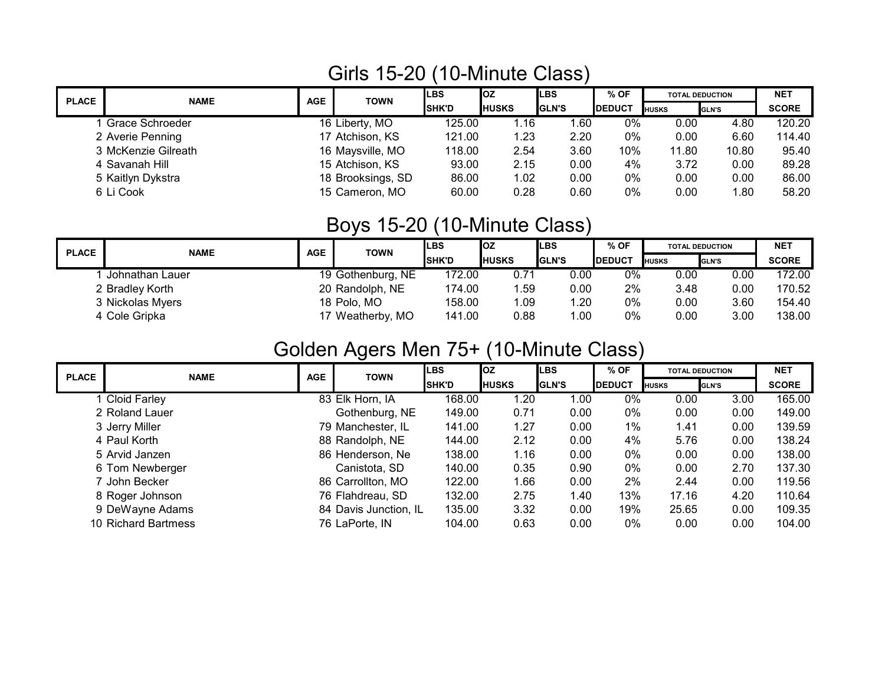#### Girls 15-20 (10-Minute Class)

| <b>PLACE</b> | <b>NAME</b>         | <b>AGE</b> | <b>TOWN</b>       | <b>LBS</b>   | loz            | <b>ILBS</b>   | $%$ OF        |              | <b>TOTAL DEDUCTION</b> | <b>NET</b>   |
|--------------|---------------------|------------|-------------------|--------------|----------------|---------------|---------------|--------------|------------------------|--------------|
|              |                     |            |                   | <b>SHK'D</b> | <b>I</b> HUSKS | <b>IGLN'S</b> | <b>DEDUCT</b> | <b>HUSKS</b> | GLN'S                  | <b>SCORE</b> |
|              | Grace Schroeder     |            | 16 Liberty, MO    | 125.00       | 1.16           | 1.60          | 0%            | 0.00         | 4.80                   | 120.20       |
|              | 2 Averie Penning    |            | 17 Atchison, KS   | 121.00       | 1.23           | 2.20          | 0%            | 0.00         | 6.60                   | 114.40       |
|              | 3 McKenzie Gilreath |            | 16 Maysville, MO  | 118.00       | 2.54           | 3.60          | 10%           | 11.80        | 10.80                  | 95.40        |
|              | 4 Savanah Hill      |            | 15 Atchison, KS   | 93.00        | 2.15           | 0.00          | 4%            | 3.72         | 0.00                   | 89.28        |
|              | 5 Kaitlyn Dykstra   |            | 18 Brooksings, SD | 86.00        | 1.02           | 0.00          | $0\%$         | 0.00         | 0.00                   | 86.00        |
|              | 6 Li Cook           |            | 15 Cameron, MO    | 60.00        | 0.28           | 0.60          | 0%            | 0.00         | 1.80                   | 58.20        |

## Boys 15-20 (10-Minute Class)

| <b>PLACE</b> | <b>NAME</b>      | <b>AGE</b> | <b>TOWN</b>       | <b>LBS</b>     | <b>loz</b>     | <b>ILBS</b>   | % OF           |              | <b>TOTAL DEDUCTION</b> | <b>NET</b>   |
|--------------|------------------|------------|-------------------|----------------|----------------|---------------|----------------|--------------|------------------------|--------------|
|              |                  |            |                   | <b>I</b> SHK'D | <b>I</b> HUSKS | <b>IGLN'S</b> | <b>IDEDUCT</b> | <b>HUSKS</b> | <b>GLN'S</b>           | <b>SCORE</b> |
|              | Johnathan Lauer  |            | 19 Gothenburg, NE | 172.00         | 0.71           | 0.00          | 0%             | 0.00         | 0.00                   | 172.00       |
|              | 2 Bradley Korth  |            | 20 Randolph, NE   | 174.00         | .59            | 0.00          | 2%             | 3.48         | 0.00                   | 170.52       |
|              | 3 Nickolas Myers |            | 18 Polo, MO       | 158.00         | .09            | 1.20          | 0%             | 0.00         | 3.60                   | 154.40       |
|              | 4 Cole Gripka    |            | 17 Weatherby, MO  | 141.00         | 0.88           | 1.00          | 0%             | 0.00         | 3.00                   | 138.00       |

#### Golden Agers Men 75+ (10-Minute Class)

| <b>PLACE</b> | <b>NAME</b>         | <b>AGE</b> | <b>TOWN</b>           | <b>LBS</b>   | lOZ.           | <b>LBS</b>     | $%$ OF         |              | <b>TOTAL DEDUCTION</b> | <b>NET</b>   |
|--------------|---------------------|------------|-----------------------|--------------|----------------|----------------|----------------|--------------|------------------------|--------------|
|              |                     |            |                       | <b>SHK'D</b> | <b>I</b> HUSKS | <b>I</b> GLN'S | <b>IDEDUCT</b> | <b>HUSKS</b> | <b>GLN'S</b>           | <b>SCORE</b> |
|              | 1 Cloid Farley      |            | 83 Elk Horn, IA       | 168.00       | 1.20           | 1.00           | 0%             | 0.00         | 3.00                   | 165.00       |
|              | 2 Roland Lauer      |            | Gothenburg, NE        | 149.00       | 0.71           | 0.00           | 0%             | 0.00         | 0.00                   | 149.00       |
|              | 3 Jerry Miller      |            | 79 Manchester, IL     | 141.00       | 1.27           | 0.00           | 1%             | 1.41         | 0.00                   | 139.59       |
|              | 4 Paul Korth        |            | 88 Randolph, NE       | 144.00       | 2.12           | 0.00           | 4%             | 5.76         | 0.00                   | 138.24       |
|              | 5 Arvid Janzen      |            | 86 Henderson, Ne      | 138.00       | 1.16           | 0.00           | 0%             | 0.00         | 0.00                   | 138.00       |
|              | 6 Tom Newberger     |            | Canistota, SD         | 140.00       | 0.35           | 0.90           | 0%             | 0.00         | 2.70                   | 137.30       |
|              | 7 John Becker       |            | 86 Carrollton, MO     | 122.00       | 1.66           | 0.00           | 2%             | 2.44         | 0.00                   | 119.56       |
|              | 8 Roger Johnson     |            | 76 Flahdreau, SD      | 132.00       | 2.75           | 1.40           | 13%            | 17.16        | 4.20                   | 110.64       |
|              | 9 DeWayne Adams     |            | 84 Davis Junction, IL | 135.00       | 3.32           | 0.00           | 19%            | 25.65        | 0.00                   | 109.35       |
|              | 10 Richard Bartmess |            | 76 LaPorte, IN        | 104.00       | 0.63           | 0.00           | 0%             | 0.00         | 0.00                   | 104.00       |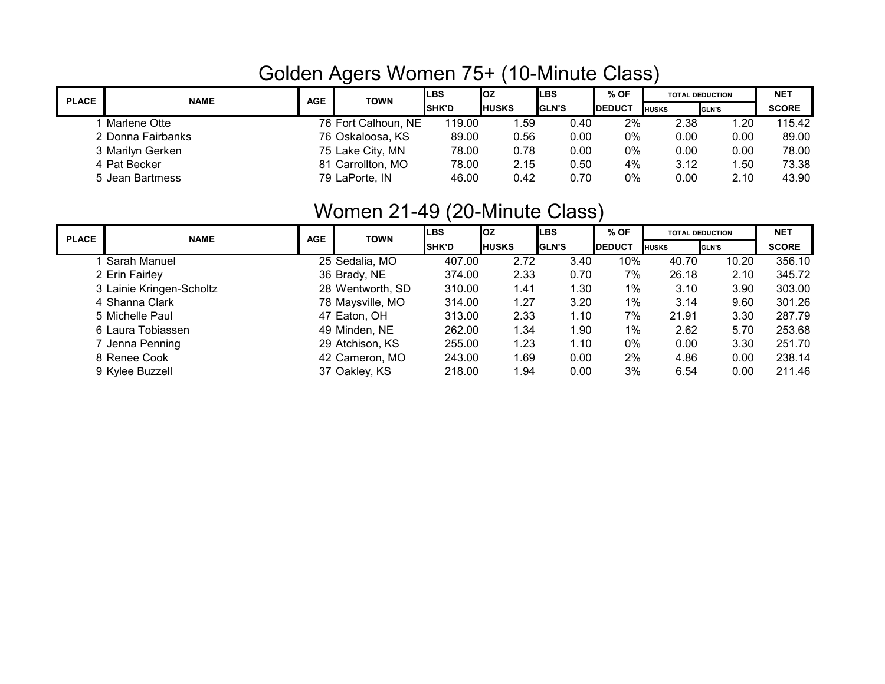## Golden Agers Women 75+ (10-Minute Class)

| <b>PLACE</b> | <b>NAME</b>       | <b>AGE</b> | <b>TOWN</b>         | <b>LBS</b>     | loz          | ILBS          | $%$ OF         |                | <b>TOTAL DEDUCTION</b> | <b>NET</b>   |
|--------------|-------------------|------------|---------------------|----------------|--------------|---------------|----------------|----------------|------------------------|--------------|
|              |                   |            |                     | <b>I</b> SHK'D | <b>HUSKS</b> | <b>IGLN'S</b> | <b>IDEDUCT</b> | <b>I</b> HUSKS | <b>GLN'S</b>           | <b>SCORE</b> |
|              | Marlene Otte      |            | 76 Fort Calhoun, NE | 119.00         | .59          | 0.40          | 2%             | 2.38           | 1.20                   | 115.42       |
|              | 2 Donna Fairbanks |            | 76 Oskaloosa, KS    | 89.00          | 0.56         | 0.00          | 0%             | 0.00           | 0.00                   | 89.00        |
|              | 3 Marilyn Gerken  |            | 75 Lake City, MN    | 78.00          | 0.78         | 0.00          | 0%             | 0.00           | 0.00                   | 78.00        |
|              | 4 Pat Becker      |            | 81 Carrollton, MO   | 78.00          | 2.15         | 0.50          | 4%             | 3.12           | 1.50                   | 73.38        |
|              | 5 Jean Bartmess   |            | 79 LaPorte, IN      | 46.00          | 0.42         | 0.70          | 0%             | 0.00           | 2.10                   | 43.90        |

## Women 21-49 (20-Minute Class)

| <b>PLACE</b> | <b>NAME</b>              | <b>AGE</b> | <b>TOWN</b>      | <b>LBS</b>   | <b>OZ</b>    | <b>LBS</b>     | $%$ OF         | <b>TOTAL DEDUCTION</b> |              | <b>NET</b>   |
|--------------|--------------------------|------------|------------------|--------------|--------------|----------------|----------------|------------------------|--------------|--------------|
|              |                          |            |                  | <b>SHK'D</b> | <b>HUSKS</b> | <b>I</b> GLN'S | <b>IDEDUCT</b> | <b>HUSKS</b>           | <b>GLN'S</b> | <b>SCORE</b> |
|              | Sarah Manuel             |            | 25 Sedalia, MO   | 407.00       | 2.72         | 3.40           | 10%            | 40.70                  | 10.20        | 356.10       |
|              | 2 Erin Fairley           |            | 36 Brady, NE     | 374.00       | 2.33         | 0.70           | 7%             | 26.18                  | 2.10         | 345.72       |
|              | 3 Lainie Kringen-Scholtz |            | 28 Wentworth, SD | 310.00       | 1.41         | 1.30           | 1%             | 3.10                   | 3.90         | 303.00       |
|              | 4 Shanna Clark           |            | 78 Maysville, MO | 314.00       | 1.27         | 3.20           | 1%             | 3.14                   | 9.60         | 301.26       |
|              | 5 Michelle Paul          |            | 47 Eaton, OH     | 313.00       | 2.33         | 1.10           | 7%             | 21.91                  | 3.30         | 287.79       |
|              | 6 Laura Tobiassen        |            | 49 Minden, NE    | 262.00       | 1.34         | 1.90           | 1%             | 2.62                   | 5.70         | 253.68       |
|              | 7 Jenna Penning          |            | 29 Atchison, KS  | 255.00       | 1.23         | 1.10           | 0%             | 0.00                   | 3.30         | 251.70       |
|              | 8 Renee Cook             |            | 42 Cameron, MO   | 243.00       | 1.69         | 0.00           | 2%             | 4.86                   | 0.00         | 238.14       |
|              | 9 Kylee Buzzell          |            | 37 Oakley, KS    | 218.00       | 1.94         | 0.00           | 3%             | 6.54                   | 0.00         | 211.46       |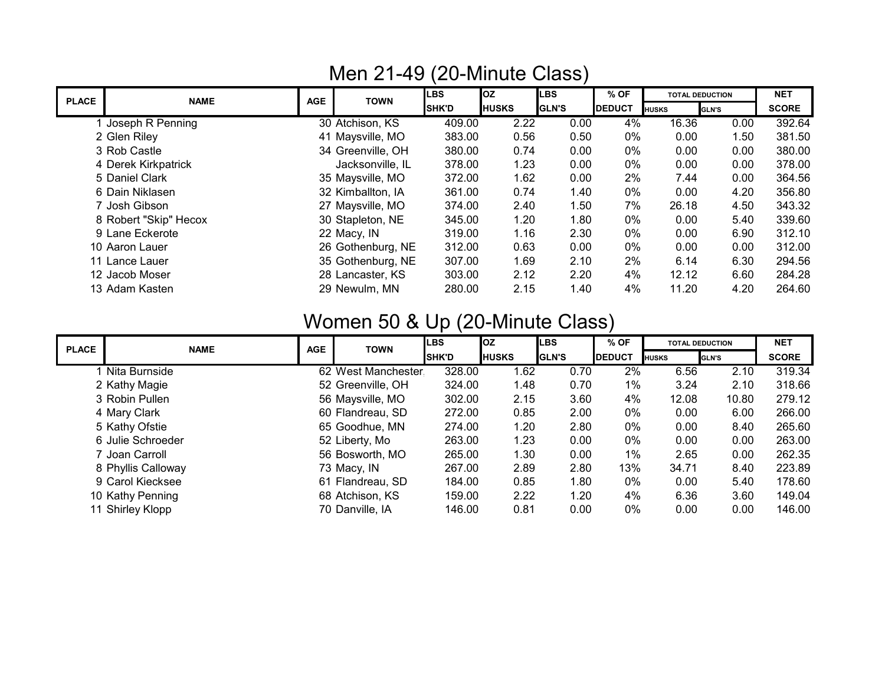| <b>PLACE</b> | <b>NAME</b>           | AGE | <b>TOWN</b>       | $\cdot$<br><b>LBS</b> | loz          | <b>LBS</b>   | $%$ OF        |              | <b>TOTAL DEDUCTION</b> | <b>NET</b>   |
|--------------|-----------------------|-----|-------------------|-----------------------|--------------|--------------|---------------|--------------|------------------------|--------------|
|              |                       |     |                   | <b>SHK'D</b>          | <b>HUSKS</b> | <b>GLN'S</b> | <b>DEDUCT</b> | <b>HUSKS</b> | <b>GLN'S</b>           | <b>SCORE</b> |
|              | Joseph R Penning      |     | 30 Atchison, KS   | 409.00                | 2.22         | 0.00         | 4%            | 16.36        | 0.00                   | 392.64       |
|              | 2 Glen Riley          |     | 41 Maysville, MO  | 383.00                | 0.56         | 0.50         | 0%            | 0.00         | 1.50                   | 381.50       |
|              | 3 Rob Castle          |     | 34 Greenville, OH | 380.00                | 0.74         | 0.00         | 0%            | 0.00         | 0.00                   | 380.00       |
|              | 4 Derek Kirkpatrick   |     | Jacksonville, IL  | 378.00                | 1.23         | 0.00         | 0%            | 0.00         | 0.00                   | 378.00       |
|              | 5 Daniel Clark        |     | 35 Maysville, MO  | 372.00                | 1.62         | 0.00         | 2%            | 7.44         | 0.00                   | 364.56       |
|              | 6 Dain Niklasen       |     | 32 Kimballton, IA | 361.00                | 0.74         | 1.40         | 0%            | 0.00         | 4.20                   | 356.80       |
|              | 7 Josh Gibson         |     | 27 Maysville, MO  | 374.00                | 2.40         | 1.50         | 7%            | 26.18        | 4.50                   | 343.32       |
|              | 8 Robert "Skip" Hecox |     | 30 Stapleton, NE  | 345.00                | 1.20         | 1.80         | 0%            | 0.00         | 5.40                   | 339.60       |
|              | 9 Lane Eckerote       |     | 22 Macy, IN       | 319.00                | 1.16         | 2.30         | 0%            | 0.00         | 6.90                   | 312.10       |
|              | 10 Aaron Lauer        |     | 26 Gothenburg, NE | 312.00                | 0.63         | 0.00         | 0%            | 0.00         | 0.00                   | 312.00       |
|              | 11 Lance Lauer        |     | 35 Gothenburg, NE | 307.00                | 1.69         | 2.10         | 2%            | 6.14         | 6.30                   | 294.56       |
|              | 12 Jacob Moser        |     | 28 Lancaster, KS  | 303.00                | 2.12         | 2.20         | 4%            | 12.12        | 6.60                   | 284.28       |
|              | 13 Adam Kasten        |     | 29 Newulm, MN     | 280.00                | 2.15         | 1.40         | 4%            | 11.20        | 4.20                   | 264.60       |

#### Men 21-49 (20-Minute Class)

# Women 50 & Up (20-Minute Class)

| <b>PLACE</b> | <b>NAME</b>        | <b>AGE</b> | <b>TOWN</b>        | <b>I</b> LBS | <b>loz</b>   | <b>LBS</b>   | $%$ OF         |              | <b>TOTAL DEDUCTION</b> | <b>NET</b>   |
|--------------|--------------------|------------|--------------------|--------------|--------------|--------------|----------------|--------------|------------------------|--------------|
|              |                    |            |                    | <b>SHK'D</b> | <b>HUSKS</b> | <b>GLN'S</b> | <b>IDEDUCT</b> | <b>HUSKS</b> | <b>GLN'S</b>           | <b>SCORE</b> |
|              | Nita Burnside      |            | 62 West Manchester | 328.00       | 1.62         | 0.70         | 2%             | 6.56         | 2.10                   | 319.34       |
|              | 2 Kathy Magie      |            | 52 Greenville, OH  | 324.00       | 1.48         | 0.70         | $1\%$          | 3.24         | 2.10                   | 318.66       |
|              | 3 Robin Pullen     |            | 56 Maysville, MO   | 302.00       | 2.15         | 3.60         | 4%             | 12.08        | 10.80                  | 279.12       |
|              | 4 Mary Clark       |            | 60 Flandreau, SD   | 272.00       | 0.85         | 2.00         | 0%             | 0.00         | 6.00                   | 266.00       |
|              | 5 Kathy Ofstie     |            | 65 Goodhue, MN     | 274.00       | 1.20         | 2.80         | 0%             | 0.00         | 8.40                   | 265.60       |
|              | 6 Julie Schroeder  |            | 52 Liberty, Mo     | 263.00       | 1.23         | 0.00         | 0%             | 0.00         | 0.00                   | 263.00       |
|              | 7 Joan Carroll     |            | 56 Bosworth, MO    | 265.00       | 1.30         | 0.00         | $1\%$          | 2.65         | 0.00                   | 262.35       |
|              | 8 Phyllis Calloway |            | 73 Macy, IN        | 267.00       | 2.89         | 2.80         | 13%            | 34.71        | 8.40                   | 223.89       |
|              | 9 Carol Kiecksee   |            | 61 Flandreau, SD   | 184.00       | 0.85         | 1.80         | 0%             | 0.00         | 5.40                   | 178.60       |
|              | 10 Kathy Penning   |            | 68 Atchison, KS    | 159.00       | 2.22         | 1.20         | 4%             | 6.36         | 3.60                   | 149.04       |
|              | 11 Shirley Klopp   |            | 70 Danville, IA    | 146.00       | 0.81         | 0.00         | 0%             | 0.00         | 0.00                   | 146.00       |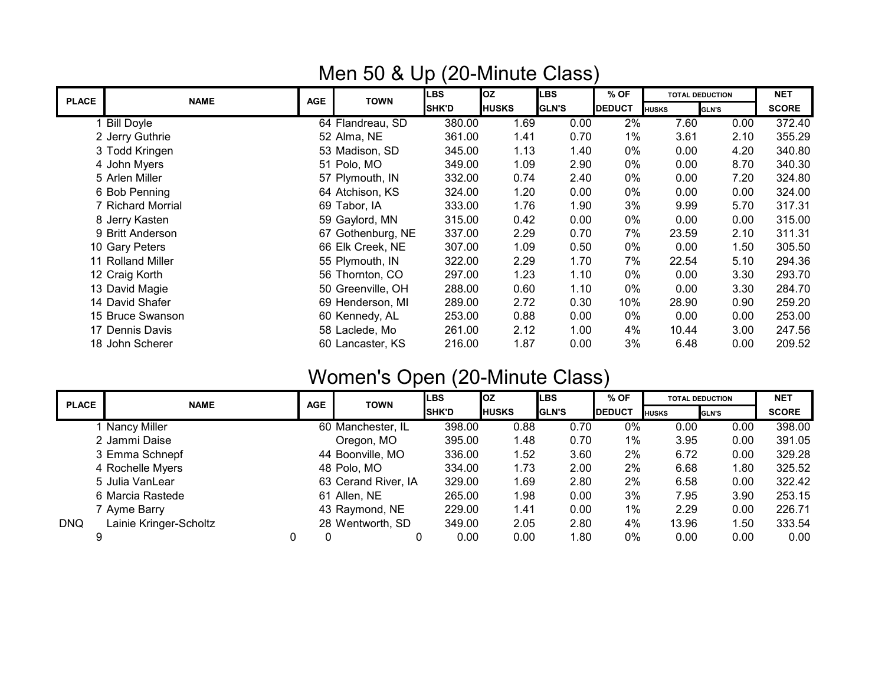|              |                   |            |                   | $\sim$       |              |              |               |                        |              |              |
|--------------|-------------------|------------|-------------------|--------------|--------------|--------------|---------------|------------------------|--------------|--------------|
| <b>PLACE</b> | <b>NAME</b>       | <b>AGE</b> | <b>TOWN</b>       | LBS          | <b>l</b> oz  | <b>LBS</b>   | $%$ OF        | <b>TOTAL DEDUCTION</b> |              | <b>NET</b>   |
|              |                   |            |                   | <b>SHK'D</b> | <b>HUSKS</b> | <b>GLN'S</b> | <b>DEDUCT</b> | <b>HUSKS</b>           | <b>GLN'S</b> | <b>SCORE</b> |
|              | <b>Bill Doyle</b> |            | 64 Flandreau, SD  | 380.00       | 1.69         | 0.00         | $2\%$         | 7.60                   | 0.00         | 372.40       |
|              | 2 Jerry Guthrie   |            | 52 Alma, NE       | 361.00       | 1.41         | 0.70         | $1\%$         | 3.61                   | 2.10         | 355.29       |
|              | 3 Todd Kringen    |            | 53 Madison, SD    | 345.00       | 1.13         | 1.40         | 0%            | 0.00                   | 4.20         | 340.80       |
|              | 4 John Myers      |            | 51 Polo, MO       | 349.00       | 1.09         | 2.90         | 0%            | 0.00                   | 8.70         | 340.30       |
|              | 5 Arlen Miller    |            | 57 Plymouth, IN   | 332.00       | 0.74         | 2.40         | 0%            | 0.00                   | 7.20         | 324.80       |
|              | 6 Bob Penning     |            | 64 Atchison, KS   | 324.00       | 1.20         | 0.00         | 0%            | 0.00                   | 0.00         | 324.00       |
|              | 7 Richard Morrial |            | 69 Tabor, IA      | 333.00       | 1.76         | 1.90         | 3%            | 9.99                   | 5.70         | 317.31       |
|              | 8 Jerry Kasten    |            | 59 Gaylord, MN    | 315.00       | 0.42         | 0.00         | 0%            | 0.00                   | 0.00         | 315.00       |
|              | 9 Britt Anderson  |            | 67 Gothenburg, NE | 337.00       | 2.29         | 0.70         | 7%            | 23.59                  | 2.10         | 311.31       |
|              | 10 Gary Peters    |            | 66 Elk Creek, NE  | 307.00       | 1.09         | 0.50         | 0%            | 0.00                   | 1.50         | 305.50       |
|              | 11 Rolland Miller |            | 55 Plymouth, IN   | 322.00       | 2.29         | 1.70         | 7%            | 22.54                  | 5.10         | 294.36       |
|              | 12 Craig Korth    |            | 56 Thornton, CO   | 297.00       | 1.23         | 1.10         | 0%            | 0.00                   | 3.30         | 293.70       |
|              | 13 David Magie    |            | 50 Greenville, OH | 288.00       | 0.60         | 1.10         | 0%            | 0.00                   | 3.30         | 284.70       |
|              | 14 David Shafer   |            | 69 Henderson, MI  | 289.00       | 2.72         | 0.30         | 10%           | 28.90                  | 0.90         | 259.20       |
|              | 15 Bruce Swanson  |            | 60 Kennedy, AL    | 253.00       | 0.88         | 0.00         | 0%            | 0.00                   | 0.00         | 253.00       |
|              | 17 Dennis Davis   |            | 58 Laclede, Mo    | 261.00       | 2.12         | 1.00         | 4%            | 10.44                  | 3.00         | 247.56       |
|              | 18 John Scherer   |            | 60 Lancaster, KS  | 216.00       | 1.87         | 0.00         | 3%            | 6.48                   | 0.00         | 209.52       |
|              |                   |            |                   |              |              |              |               |                        |              |              |

## Men 50 & Up (20-Minute Class)

# Women's Open (20-Minute Class)

| <b>PLACE</b> | <b>NAME</b>            | <b>AGE</b> | <b>TOWN</b>         | <b>LBS</b>   | loz           | <b>LBS</b>    | $%$ OF         |              | <b>TOTAL DEDUCTION</b> | <b>NET</b>   |
|--------------|------------------------|------------|---------------------|--------------|---------------|---------------|----------------|--------------|------------------------|--------------|
|              |                        |            |                     | <b>SHK'D</b> | <b>IHUSKS</b> | <b>IGLN'S</b> | <b>IDEDUCT</b> | <b>HUSKS</b> | <b>GLN'S</b>           | <b>SCORE</b> |
|              | Nancy Miller           |            | 60 Manchester, IL   | 398.00       | 0.88          | 0.70          | 0%             | 0.00         | 0.00                   | 398.00       |
|              | 2 Jammi Daise          |            | Oregon, MO          | 395.00       | 1.48          | 0.70          | $1\%$          | 3.95         | 0.00                   | 391.05       |
|              | 3 Emma Schnepf         |            | 44 Boonville, MO    | 336.00       | 1.52          | 3.60          | 2%             | 6.72         | 0.00                   | 329.28       |
|              | 4 Rochelle Myers       |            | 48 Polo, MO         | 334.00       | 1.73          | 2.00          | 2%             | 6.68         | 1.80                   | 325.52       |
|              | 5 Julia VanLear        |            | 63 Cerand River, IA | 329.00       | 1.69          | 2.80          | 2%             | 6.58         | 0.00                   | 322.42       |
|              | 6 Marcia Rastede       |            | 61 Allen, NE        | 265.00       | 1.98          | 0.00          | 3%             | 7.95         | 3.90                   | 253.15       |
|              | 7 Ayme Barry           |            | 43 Raymond, NE      | 229.00       | 1.41          | 0.00          | $1\%$          | 2.29         | 0.00                   | 226.71       |
| <b>DNQ</b>   | Lainie Kringer-Scholtz |            | 28 Wentworth, SD    | 349.00       | 2.05          | 2.80          | 4%             | 13.96        | 1.50                   | 333.54       |
|              |                        |            |                     | 0.00         | 0.00          | 1.80          | 0%             | 0.00         | 0.00                   | 0.00         |